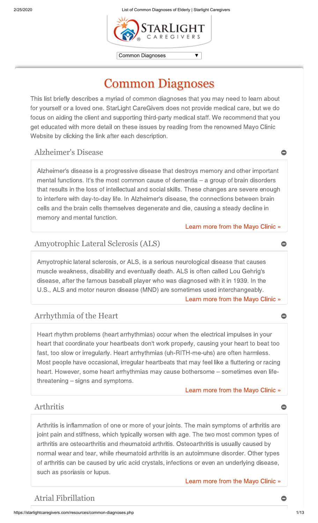$\blacktriangledown$   $\mid$ 



Common Diagnoses

# Common Diagnoses

This list briefly describes a myriad of common diagnoses that you may need to learn about for yourself or a loved one. StarLight CareGivers does not provide medical care, but we do focus on aiding the client and supporting third-party medical staff. We recommend that you get educated with more detail on these issues by reading from the renowned Mayo Clinic Website by clicking the link after each description.

## Alzheimer's Disease

Alzheimer's disease is a progressive disease that destroys memory and other important mental functions. It's the most common cause of dementia – a group of brain disorders that results in the loss of intellectual and social skills. These changes are severe enough to interfere with day-to-day life. In Alzheimer's disease, the connections between brain cells and the brain cells themselves degenerate and die, causing a steady decline in memory and mental function.

[Learn more from the Mayo Clinic »](https://www.mayoclinic.org/diseases-conditions/alzheimers-disease/symptoms-causes/syc-20350447)

## Amyotrophic Lateral Sclerosis (ALS)

Amyotrophic lateral sclerosis, or ALS, is a serious neurological disease that causes muscle weakness, disability and eventually death. ALS is often called Lou Gehrig's disease, after the famous baseball player who was diagnosed with it in 1939. In the U.S., ALS and motor neuron disease (MND) are sometimes used interchangeably.

[Learn more from the Mayo Clinic »](http://www.mayoclinic.com/health/amyotrophic-lateral-sclerosis/DS00359)

## Arrhythmia of the Heart

Heart rhythm problems (heart arrhythmias) occur when the electrical impulses in your heart that coordinate your heartbeats don't work properly, causing your heart to beat too fast, too slow or irregularly. Heart arrhythmias (uh-RITH-me-uhs) are often harmless. Most people have occasional, irregular heartbeats that may feel like a fluttering or racing heart. However, some heart arrhythmias may cause bothersome – sometimes even lifethreatening – signs and symptoms.

[Learn more from the Mayo Clinic »](http://www.mayoclinic.com/health/heart-arrhythmias/DS00290)

## Arthritis

Arthritis is inflammation of one or more of your joints. The main symptoms of arthritis are joint pain and stiffness, which typically worsen with age. The two most common types of arthritis are osteoarthritis and rheumatoid arthritis. Osteoarthritis is usually caused by normal wear and tear, while rheumatoid arthritis is an autoimmune disorder. Other types of arthritis can be caused by uric acid crystals, infections or even an underlying disease, such as psoriasis or lupus.

[Learn more from the Mayo Clinic »](https://www.mayoclinic.org/diseases-conditions/arthritis/symptoms-causes/syc-20350772)

## Atrial Fibrillation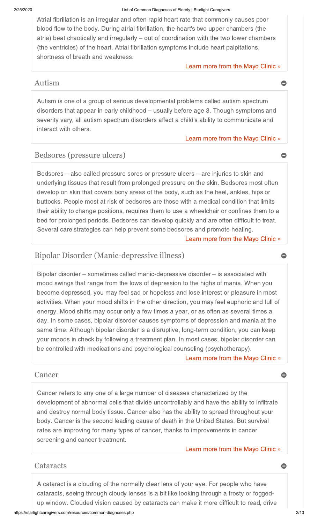Atrial fibrillation is an irregular and often rapid heart rate that commonly causes poor blood flow to the body. During atrial fibrillation, the heart's two upper chambers (the atria) beat chaotically and irregularly – out of coordination with the two lower chambers (the ventricles) of the heart. Atrial fibrillation symptoms include heart palpitations, shortness of breath and weakness.

#### [Learn more from the Mayo Clinic »](https://www.mayoclinic.org/diseases-conditions/atrial-fibrillation/symptoms-causes/syc-20350624)

### Autism

Autism is one of a group of serious developmental problems called autism spectrum disorders that appear in early childhood – usually before age 3. Though symptoms and severity vary, all autism spectrum disorders affect a child's ability to communicate and interact with others.

#### [Learn more from the Mayo Clinic »](http://www.mayoclinic.com/health/autism/DS00348)

## Bedsores (pressure ulcers)

Bedsores – also called pressure sores or pressure ulcers – are injuries to skin and underlying tissues that result from prolonged pressure on the skin. Bedsores most often develop on skin that covers bony areas of the body, such as the heel, ankles, hips or buttocks. People most at risk of bedsores are those with a medical condition that limits their ability to change positions, requires them to use a wheelchair or confines them to a bed for prolonged periods. Bedsores can develop quickly and are often difficult to treat. Several care strategies can help prevent some bedsores and promote healing.

[Learn more from the Mayo Clinic »](http://www.mayoclinic.com/health/bedsores/DS00570)

## Bipolar Disorder (Manic-depressive illness)

Bipolar disorder – sometimes called manic-depressive disorder – is associated with mood swings that range from the lows of depression to the highs of mania. When you become depressed, you may feel sad or hopeless and lose interest or pleasure in most activities. When your mood shifts in the other direction, you may feel euphoric and full of energy. Mood shifts may occur only a few times a year, or as often as several times a day. In some cases, bipolar disorder causes symptoms of depression and mania at the same time. Although bipolar disorder is a disruptive, long-term condition, you can keep your moods in check by following a treatment plan. In most cases, bipolar disorder can be controlled with medications and psychological counseling (psychotherapy).

[Learn more from the Mayo Clinic »](http://www.mayoclinic.com/health/bipolar-disorder/DS00356)

### Cancer  $\qquad \qquad \bullet$

Cancer refers to any one of a large number of diseases characterized by the development of abnormal cells that divide uncontrollably and have the ability to infiltrate and destroy normal body tissue. Cancer also has the ability to spread throughout your body. Cancer is the second leading cause of death in the United States. But survival rates are improving for many types of cancer, thanks to improvements in cancer screening and cancer treatment.

#### [Learn more from the Mayo Clinic »](http://www.mayoclinic.com/health/cancer/DS01076)

### Cataracts

A cataract is a clouding of the normally clear lens of your eye. For people who have cataracts, seeing through cloudy lenses is a bit like looking through a frosty or foggedup window. Clouded vision caused by cataracts can make it more difficult to read, drive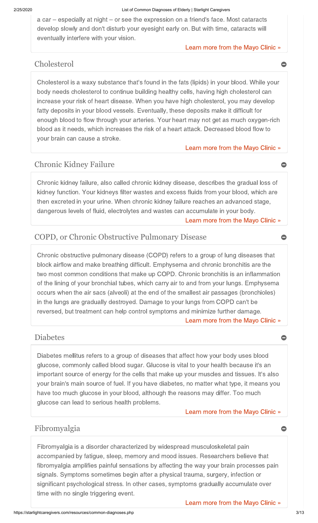a car – especially at night – or see the expression on a friend's face. Most cataracts develop slowly and don't disturb your eyesight early on. But with time, cataracts will eventually interfere with your vision.

#### [Learn more from the Mayo Clinic »](http://www.mayoclinic.com/health/cataracts/DS00050)

## Cholesterol

Cholesterol is a waxy substance that's found in the fats (lipids) in your blood. While your body needs cholesterol to continue building healthy cells, having high cholesterol can increase your risk of heart disease. When you have high cholesterol, you may develop fatty deposits in your blood vessels. Eventually, these deposits make it difficult for enough blood to flow through your arteries. Your heart may not get as much oxygen-rich blood as it needs, which increases the risk of a heart attack. Decreased blood flow to your brain can cause a stroke.

#### [Learn more from the Mayo Clinic »](http://www.mayoclinic.com/health/high-blood-cholesterol/DS00178)

## Chronic Kidney Failure

Chronic kidney failure, also called chronic kidney disease, describes the gradual loss of kidney function. Your kidneys filter wastes and excess fluids from your blood, which are then excreted in your urine. When chronic kidney failure reaches an advanced stage, dangerous levels of fluid, electrolytes and wastes can accumulate in your body.

[Learn more from the Mayo Clinic »](http://www.mayoclinic.com/health/kidney-failure/DS00682)

## COPD, or Chronic Obstructive Pulmonary Disease

Chronic obstructive pulmonary disease (COPD) refers to a group of lung diseases that block airflow and make breathing difficult. Emphysema and chronic bronchitis are the two most common conditions that make up COPD. Chronic bronchitis is an inflammation of the lining of your bronchial tubes, which carry air to and from your lungs. Emphysema occurs when the air sacs (alveoli) at the end of the smallest air passages (bronchioles) in the lungs are gradually destroyed. Damage to your lungs from COPD can't be reversed, but treatment can help control symptoms and minimize further damage.

[Learn more from the Mayo Clinic »](http://www.mayoclinic.com/health/copd/DS00916)

### Diabetes **of the contract of the contract of the contract of the contract of the contract of the contract of the contract of the contract of the contract of the contract of the contract of the contract of the contract of t**

Diabetes mellitus refers to a group of diseases that affect how your body uses blood glucose, commonly called blood sugar. Glucose is vital to your health because it's an important source of energy for the cells that make up your muscles and tissues. It's also your brain's main source of fuel. If you have diabetes, no matter what type, it means you have too much glucose in your blood, although the reasons may differ. Too much glucose can lead to serious health problems.

#### [Learn more from the Mayo Clinic »](http://www.mayoclinic.com/health/diabetes/DS01121)

## Fibromyalgia

Fibromyalgia is a disorder characterized by widespread musculoskeletal pain accompanied by fatigue, sleep, memory and mood issues. Researchers believe that fibromyalgia amplifies painful sensations by affecting the way your brain processes pain signals. Symptoms sometimes begin after a physical trauma, surgery, infection or significant psychological stress. In other cases, symptoms gradually accumulate over time with no single triggering event.

[Learn more from the Mayo Clinic »](http://www.mayoclinic.com/health/fibromyalgia/DS00079)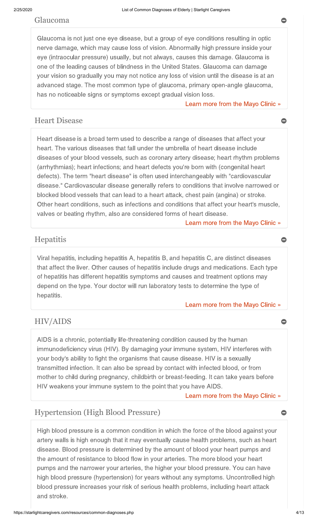### Glaucoma

Glaucoma is not just one eye disease, but a group of eye conditions resulting in optic nerve damage, which may cause loss of vision. Abnormally high pressure inside your eye (intraocular pressure) usually, but not always, causes this damage. Glaucoma is one of the leading causes of blindness in the United States. Glaucoma can damage your vision so gradually you may not notice any loss of vision until the disease is at an advanced stage. The most common type of glaucoma, primary open-angle glaucoma, has no noticeable signs or symptoms except gradual vision loss.

#### [Learn more from the Mayo Clinic »](http://www.mayoclinic.com/health/glaucoma/DS00283)

## Heart Disease

Heart disease is a broad term used to describe a range of diseases that affect your heart. The various diseases that fall under the umbrella of heart disease include diseases of your blood vessels, such as coronary artery disease; heart rhythm problems (arrhythmias); heart infections; and heart defects you're born with (congenital heart defects). The term "heart disease" is often used interchangeably with "cardiovascular disease." Cardiovascular disease generally refers to conditions that involve narrowed or blocked blood vessels that can lead to a heart attack, chest pain (angina) or stroke. Other heart conditions, such as infections and conditions that affect your heart's muscle, valves or beating rhythm, also are considered forms of heart disease.

#### [Learn more from the Mayo Clinic »](https://www.mayoclinic.org/diseases-conditions/heart-disease/symptoms-causes/syc-20353118)

## Hepatitis

Viral hepatitis, including hepatitis A, hepatitis B, and hepatitis C, are distinct diseases that affect the liver. Other causes of hepatitis include drugs and medications. Each type of hepatitis has different hepatitis symptoms and causes and treatment options may depend on the type. Your doctor will run laboratory tests to determine the type of hepatitis.

#### [Learn more from the Mayo Clinic »](https://www.mayoclinic.org/diseases-conditions/hepatitis-c/symptoms-causes/syc-20354278)

## HIV/AIDS

AIDS is a chronic, potentially life-threatening condition caused by the human immunodeficiency virus (HIV). By damaging your immune system, HIV interferes with your body's ability to fight the organisms that cause disease. HIV is a sexually transmitted infection. It can also be spread by contact with infected blood, or from mother to child during pregnancy, childbirth or breast-feeding. It can take years before HIV weakens your immune system to the point that you have AIDS.

#### [Learn more from the Mayo Clinic »](https://www.mayoclinic.org/diseases-conditions/hiv-aids/symptoms-causes/syc-20373524)

## Hypertension (High Blood Pressure)

High blood pressure is a common condition in which the force of the blood against your artery walls is high enough that it may eventually cause health problems, such as heart disease. Blood pressure is determined by the amount of blood your heart pumps and the amount of resistance to blood flow in your arteries. The more blood your heart pumps and the narrower your arteries, the higher your blood pressure. You can have high blood pressure (hypertension) for years without any symptoms. Uncontrolled high blood pressure increases your risk of serious health problems, including heart attack and stroke.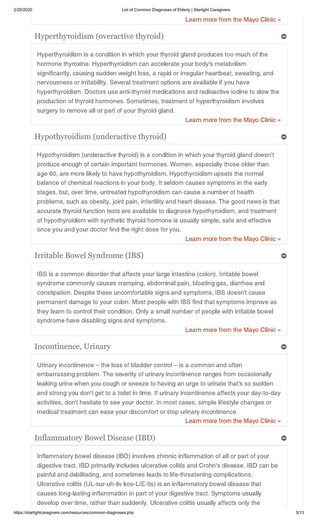[Learn more from the Mayo Clinic »](http://www.mayoclinic.com/health/high-blood-pressure/DS00100)

## Hyperthyroidism (overactive thyroid)

Hyperthyroidism is a condition in which your thyroid gland produces too much of the hormone thyroxine. Hyperthyroidism can accelerate your body's metabolism significantly, causing sudden weight loss, a rapid or irregular heartbeat, sweating, and nervousness or irritability. Several treatment options are available if you have hyperthyroidism. Doctors use anti-thyroid medications and radioactive iodine to slow the production of thyroid hormones. Sometimes, treatment of hyperthyroidism involves surgery to remove all or part of your thyroid gland.

#### [Learn more from the Mayo Clinic »](http://www.mayoclinic.com/health/hyperthyroidism/DS00344)

## Hypothyroidism (underactive thyroid)

Hypothyroidism (underactive thyroid) is a condition in which your thyroid gland doesn't produce enough of certain important hormones. Women, especially those older than age 60, are more likely to have hypothyroidism. Hypothyroidism upsets the normal balance of chemical reactions in your body. It seldom causes symptoms in the early stages, but, over time, untreated hypothyroidism can cause a number of health problems, such as obesity, joint pain, infertility and heart disease. The good news is that accurate thyroid function tests are available to diagnose hypothyroidism, and treatment of hypothyroidism with synthetic thyroid hormone is usually simple, safe and effective once you and your doctor find the right dose for you.

[Learn more from the Mayo Clinic »](http://www.mayoclinic.com/health/hypothyroidism/DS00353)

## Irritable Bowel Syndrome (IBS)

IBS is a common disorder that affects your large intestine (colon). Irritable bowel syndrome commonly causes cramping, abdominal pain, bloating gas, diarrhea and constipation. Despite these uncomfortable signs and symptoms, IBS doesn't cause permanent damage to your colon. Most people with IBS find that symptoms improve as they learn to control their condition. Only a small number of people with irritable bowel syndrome have disabling signs and symptoms.

#### [Learn more from the Mayo Clinic »](http://www.mayoclinic.com/health/irritable-bowel-syndrome/DS00106)

## Incontinence, Urinary

Urinary incontinence – the loss of bladder control – is a common and often embarrassing problem. The severity of urinary incontinence ranges from occasionally leaking urine when you cough or sneeze to having an urge to urinate that's so sudden and strong you don't get to a toilet in time. If urinary incontinence affects your day-to-day activities, don't hesitate to see your doctor. In most cases, simple lifestyle changes or medical treatment can ease your discomfort or stop urinary incontinence.

[Learn more from the Mayo Clinic »](http://www.mayoclinic.com/health/urinary-incontinence/DS00404)

## Inflammatory Bowel Disease (IBD)

Inflammatory bowel disease (IBD) involves chronic inflammation of all or part of your digestive tract. IBD primarily includes ulcerative colitis and Crohn's disease. IBD can be painful and debilitating, and sometimes leads to life-threatening complications. Ulcerative colitis (UL-sur-uh-tiv koe-LIE-tis) is an inflammatory bowel disease that causes long-lasting inflammation in part of your digestive tract. Symptoms usually develop over time, rather than suddenly. Ulcerative colitis usually affects only the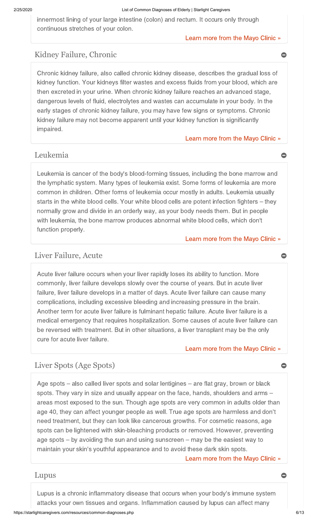innermost lining of your large intestine (colon) and rectum. It occurs only through continuous stretches of your colon.

#### [Learn more from the Mayo Clinic »](http://www.mayoclinic.com/health/inflammatory-bowel-disease/DS01195)

## Kidney Failure, Chronic

Chronic kidney failure, also called chronic kidney disease, describes the gradual loss of kidney function. Your kidneys filter wastes and excess fluids from your blood, which are then excreted in your urine. When chronic kidney failure reaches an advanced stage, dangerous levels of fluid, electrolytes and wastes can accumulate in your body. In the early stages of chronic kidney failure, you may have few signs or symptoms. Chronic kidney failure may not become apparent until your kidney function is significantly impaired.

#### [Learn more from the Mayo Clinic »](http://www.mayoclinic.com/health/kidney-failure/DS00682)

## Leukemia

Leukemia is cancer of the body's blood-forming tissues, including the bone marrow and the lymphatic system. Many types of leukemia exist. Some forms of leukemia are more common in children. Other forms of leukemia occur mostly in adults. Leukemia usually starts in the white blood cells. Your white blood cells are potent infection fighters – they normally grow and divide in an orderly way, as your body needs them. But in people with leukemia, the bone marrow produces abnormal white blood cells, which don't function properly.

#### [Learn more from the Mayo Clinic »](http://www.mayoclinic.com/health/leukemia/DS00351)

## Liver Failure, Acute

Acute liver failure occurs when your liver rapidly loses its ability to function. More commonly, liver failure develops slowly over the course of years. But in acute liver failure, liver failure develops in a matter of days. Acute liver failure can cause many complications, including excessive bleeding and increasing pressure in the brain. Another term for acute liver failure is fulminant hepatic failure. Acute liver failure is a medical emergency that requires hospitalization. Some causes of acute liver failure can be reversed with treatment. But in other situations, a liver transplant may be the only cure for acute liver failure.

#### [Learn more from the Mayo Clinic »](http://www.mayoclinic.com/health/liver-failure/DS00961)

## Liver Spots (Age Spots)

Age spots – also called liver spots and solar lentigines – are flat gray, brown or black spots. They vary in size and usually appear on the face, hands, shoulders and arms – areas most exposed to the sun. Though age spots are very common in adults older than age 40, they can affect younger people as well. True age spots are harmless and don't need treatment, but they can look like cancerous growths. For cosmetic reasons, age spots can be lightened with skin-bleaching products or removed. However, preventing age spots – by avoiding the sun and using sunscreen – may be the easiest way to maintain your skin's youthful appearance and to avoid these dark skin spots.

[Learn more from the Mayo Clinic »](http://www.mayoclinic.com/health/age-spots/DS00912)

## Lupus **Design Contract of the Contract of Contract Contract of Contract Contract Contract Contract Contract Contract Contract Contract Contract Contract Contract Contract Contract Contract Contract Contract Contract Contra**

Lupus is a chronic inflammatory disease that occurs when your body's immune system attacks your own tissues and organs. Inflammation caused by lupus can affect many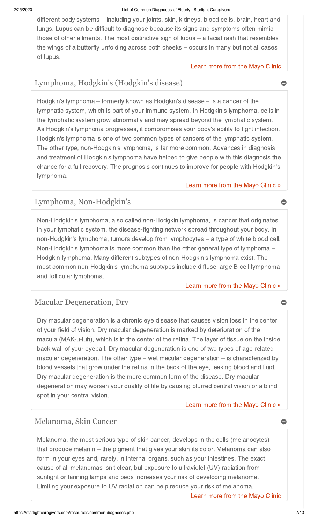different body systems – including your joints, skin, kidneys, blood cells, brain, heart and lungs. Lupus can be difficult to diagnose because its signs and symptoms often mimic those of other ailments. The most distinctive sign of lupus – a facial rash that resembles the wings of a butterfly unfolding across both cheeks – occurs in many but not all cases of lupus.

#### [Learn more from the Mayo Clinic](http://www.mayoclinic.com/health/lupus/DS00115)

## Lymphoma, Hodgkin's (Hodgkin's disease)

Hodgkin's lymphoma – formerly known as Hodgkin's disease – is a cancer of the lymphatic system, which is part of your immune system. In Hodgkin's lymphoma, cells in the lymphatic system grow abnormally and may spread beyond the lymphatic system. As Hodgkin's lymphoma progresses, it compromises your body's ability to fight infection. Hodgkin's lymphoma is one of two common types of cancers of the lymphatic system. The other type, non-Hodgkin's lymphoma, is far more common. Advances in diagnosis and treatment of Hodgkin's lymphoma have helped to give people with this diagnosis the chance for a full recovery. The prognosis continues to improve for people with Hodgkin's lymphoma.

### [Learn more from the Mayo Clinic »](http://www.mayoclinic.com/health/hodgkins-disease/DS00186)

## Lymphoma, Non-Hodgkin's

Non-Hodgkin's lymphoma, also called non-Hodgkin lymphoma, is cancer that originates in your lymphatic system, the disease-fighting network spread throughout your body. In non-Hodgkin's lymphoma, tumors develop from lymphocytes – a type of white blood cell. Non-Hodgkin's lymphoma is more common than the other general type of lymphoma – Hodgkin lymphoma. Many different subtypes of non-Hodgkin's lymphoma exist. The most common non-Hodgkin's lymphoma subtypes include diffuse large B-cell lymphoma and follicular lymphoma.

#### [Learn more from the Mayo Clinic »](http://www.mayoclinic.com/health/non-hodgkins-lymphoma/DS00350)

## Macular Degeneration, Dry

Dry macular degeneration is a chronic eye disease that causes vision loss in the center of your field of vision. Dry macular degeneration is marked by deterioration of the macula (MAK-u-luh), which is in the center of the retina. The layer of tissue on the inside back wall of your eyeball. Dry macular degeneration is one of two types of age-related macular degeneration. The other type – wet macular degeneration – is characterized by blood vessels that grow under the retina in the back of the eye, leaking blood and fluid. Dry macular degeneration is the more common form of the disease. Dry macular degeneration may worsen your quality of life by causing blurred central vision or a blind spot in your central vision.

### [Learn more from the Mayo Clinic »](http://www.mayoclinic.com/health/macular-degeneration/DS00284)

## Melanoma, Skin Cancer

Melanoma, the most serious type of skin cancer, develops in the cells (melanocytes) that produce melanin – the pigment that gives your skin its color. Melanoma can also form in your eyes and, rarely, in internal organs, such as your intestines. The exact cause of all melanomas isn't clear, but exposure to ultraviolet (UV) radiation from sunlight or tanning lamps and beds increases your risk of developing melanoma. Limiting your exposure to UV radiation can help reduce your risk of melanoma.

[Learn more from the Mayo Clinic](http://www.mayoclinic.com/health/melanoma/DS00439)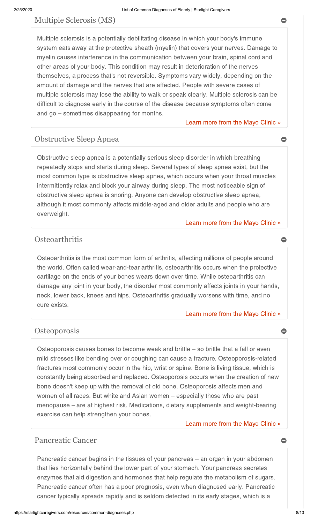## Multiple Sclerosis (MS)

Multiple sclerosis is a potentially debilitating disease in which your body's immune system eats away at the protective sheath (myelin) that covers your nerves. Damage to myelin causes interference in the communication between your brain, spinal cord and other areas of your body. This condition may result in deterioration of the nerves themselves, a process that's not reversible. Symptoms vary widely, depending on the amount of damage and the nerves that are affected. People with severe cases of multiple sclerosis may lose the ability to walk or speak clearly. Multiple sclerosis can be difficult to diagnose early in the course of the disease because symptoms often come and go – sometimes disappearing for months.

[Learn more from the Mayo Clinic »](https://www.mayoclinic.org/diseases-conditions/multiple-sclerosis/multimedia/multiple-sclerosis-diagnosis/vid-20135054)

## Obstructive Sleep Apnea

Obstructive sleep apnea is a potentially serious sleep disorder in which breathing repeatedly stops and starts during sleep. Several types of sleep apnea exist, but the most common type is obstructive sleep apnea, which occurs when your throat muscles intermittently relax and block your airway during sleep. The most noticeable sign of obstructive sleep apnea is snoring. Anyone can develop obstructive sleep apnea, although it most commonly affects middle-aged and older adults and people who are overweight.

#### [Learn more from the Mayo Clinic »](http://www.mayoclinic.com/health/obstructive-sleep-apnea/DS00968)

## Osteoarthritis

Osteoarthritis is the most common form of arthritis, affecting millions of people around the world. Often called wear-and-tear arthritis, osteoarthritis occurs when the protective cartilage on the ends of your bones wears down over time. While osteoarthritis can damage any joint in your body, the disorder most commonly affects joints in your hands, neck, lower back, knees and hips. Osteoarthritis gradually worsens with time, and no cure exists.

#### [Learn more from the Mayo Clinic »](http://www.mayoclinic.com/health/osteoarthritis/DS00019)

### **Osteoporosis**

Osteoporosis causes bones to become weak and brittle – so brittle that a fall or even mild stresses like bending over or coughing can cause a fracture. Osteoporosis-related fractures most commonly occur in the hip, wrist or spine. Bone is living tissue, which is constantly being absorbed and replaced. Osteoporosis occurs when the creation of new bone doesn't keep up with the removal of old bone. Osteoporosis affects men and women of all races. But white and Asian women – especially those who are past menopause – are at highest risk. Medications, dietary supplements and weight-bearing exercise can help strengthen your bones.

#### [Learn more from the Mayo Clinic »](http://www.mayoclinic.com/health/osteoporosis/DS00128)

## Pancreatic Cancer **Cancer Cancer Cancer Cancer Cancer Cancer Cancer Cancer Cancer Cancer Cancer Cancer Cancer Cancer Cancer Cancer Cancer Cancer Cancer Cancer Cancer Cancer Cance**

Pancreatic cancer begins in the tissues of your pancreas – an organ in your abdomen that lies horizontally behind the lower part of your stomach. Your pancreas secretes enzymes that aid digestion and hormones that help regulate the metabolism of sugars. Pancreatic cancer often has a poor prognosis, even when diagnosed early. Pancreatic cancer typically spreads rapidly and is seldom detected in its early stages, which is a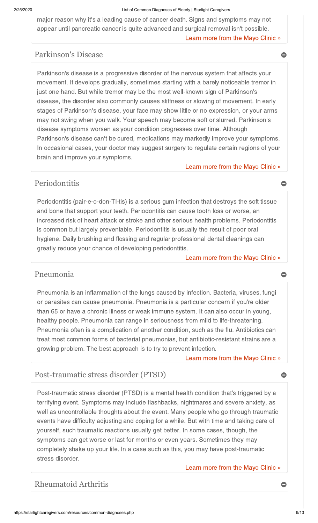[Learn more from the Mayo Clinic »](http://www.mayoclinic.com/health/pancreatic-cancer/DS00357) major reason why it's a leading cause of cancer death. Signs and symptoms may not appear until pancreatic cancer is quite advanced and surgical removal isn't possible.

## Parkinson's Disease

Parkinson's disease is a progressive disorder of the nervous system that affects your movement. It develops gradually, sometimes starting with a barely noticeable tremor in just one hand. But while tremor may be the most well-known sign of Parkinson's disease, the disorder also commonly causes stiffness or slowing of movement. In early stages of Parkinson's disease, your face may show little or no expression, or your arms may not swing when you walk. Your speech may become soft or slurred. Parkinson's disease symptoms worsen as your condition progresses over time. Although Parkinson's disease can't be cured, medications may markedly improve your symptoms. In occasional cases, your doctor may suggest surgery to regulate certain regions of your brain and improve your symptoms.

[Learn more from the Mayo Clinic »](http://www.mayoclinic.com/health/parkinsons-disease/DS00295)

### Periodontitis

Periodontitis (pair-e-o-don-TI-tis) is a serious gum infection that destroys the soft tissue and bone that support your teeth. Periodontitis can cause tooth loss or worse, an increased risk of heart attack or stroke and other serious health problems. Periodontitis is common but largely preventable. Periodontitis is usually the result of poor oral hygiene. Daily brushing and flossing and regular professional dental cleanings can greatly reduce your chance of developing periodontitis.

[Learn more from the Mayo Clinic »](http://www.mayoclinic.com/health/periodontitis/DS00369)

## Pneumonia <del>o</del>

Pneumonia is an inflammation of the lungs caused by infection. Bacteria, viruses, fungi or parasites can cause pneumonia. Pneumonia is a particular concern if you're older than 65 or have a chronic illness or weak immune system. It can also occur in young, healthy people. Pneumonia can range in seriousness from mild to life-threatening. Pneumonia often is a complication of another condition, such as the flu. Antibiotics can treat most common forms of bacterial pneumonias, but antibiotic-resistant strains are a growing problem. The best approach is to try to prevent infection.

[Learn more from the Mayo Clinic »](http://www.mayoclinic.com/health/pneumonia/DS00135)

## Post-traumatic stress disorder (PTSD)

Post-traumatic stress disorder (PTSD) is a mental health condition that's triggered by a terrifying event. Symptoms may include flashbacks, nightmares and severe anxiety, as well as uncontrollable thoughts about the event. Many people who go through traumatic events have difficulty adjusting and coping for a while. But with time and taking care of yourself, such traumatic reactions usually get better. In some cases, though, the symptoms can get worse or last for months or even years. Sometimes they may completely shake up your life. In a case such as this, you may have post-traumatic stress disorder.

[Learn more from the Mayo Clinic »](https://www.mayoclinic.org/diseases-conditions/post-traumatic-stress-disorder/symptoms-causes/syc-20355967)

## Rheumatoid Arthritis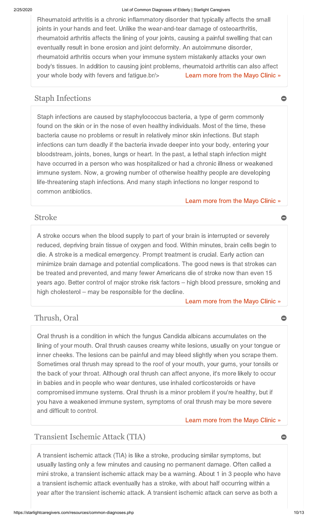[Learn more from the Mayo Clinic »](https://www.mayoclinic.org/diseases-conditions/rheumatoid-arthritis/symptoms-causes/syc-20353648) Rheumatoid arthritis is a chronic inflammatory disorder that typically affects the small joints in your hands and feet. Unlike the wear-and-tear damage of osteoarthritis, rheumatoid arthritis affects the lining of your joints, causing a painful swelling that can eventually result in bone erosion and joint deformity. An autoimmune disorder, rheumatoid arthritis occurs when your immune system mistakenly attacks your own body's tissues. In addition to causing joint problems, rheumatoid arthritis can also affect your whole body with fevers and fatigue.br/>

## Staph Infections  $\bullet$

Staph infections are caused by staphylococcus bacteria, a type of germ commonly found on the skin or in the nose of even healthy individuals. Most of the time, these bacteria cause no problems or result in relatively minor skin infections. But staph infections can turn deadly if the bacteria invade deeper into your body, entering your bloodstream, joints, bones, lungs or heart. In the past, a lethal staph infection might have occurred in a person who was hospitalized or had a chronic illness or weakened immune system. Now, a growing number of otherwise healthy people are developing life-threatening staph infections. And many staph infections no longer respond to common antibiotics.

[Learn more from the Mayo Clinic »](http://www.mayoclinic.com/health/staph-infections/DS00973)

## Stroke ● ● ●

A stroke occurs when the blood supply to part of your brain is interrupted or severely reduced, depriving brain tissue of oxygen and food. Within minutes, brain cells begin to die. A stroke is a medical emergency. Prompt treatment is crucial. Early action can minimize brain damage and potential complications. The good news is that strokes can be treated and prevented, and many fewer Americans die of stroke now than even 15 years ago. Better control of major stroke risk factors – high blood pressure, smoking and high cholesterol – may be responsible for the decline.

[Learn more from the Mayo Clinic »](http://www.mayoclinic.com/health/stroke/DS00150)

## Thrush, Oral

Oral thrush is a condition in which the fungus Candida albicans accumulates on the lining of your mouth. Oral thrush causes creamy white lesions, usually on your tongue or inner cheeks. The lesions can be painful and may bleed slightly when you scrape them. Sometimes oral thrush may spread to the roof of your mouth, your gums, your tonsils or the back of your throat. Although oral thrush can affect anyone, it's more likely to occur in babies and in people who wear dentures, use inhaled corticosteroids or have compromised immune systems. Oral thrush is a minor problem if you're healthy, but if you have a weakened immune system, symptoms of oral thrush may be more severe and difficult to control.

[Learn more from the Mayo Clinic »](http://www.mayoclinic.com/health/oral-thrush/DS00408)

## Transient Ischemic Attack (TIA)

A transient ischemic attack (TIA) is like a stroke, producing similar symptoms, but usually lasting only a few minutes and causing no permanent damage. Often called a mini stroke, a transient ischemic attack may be a warning. About 1 in 3 people who have a transient ischemic attack eventually has a stroke, with about half occurring within a year after the transient ischemic attack. A transient ischemic attack can serve as both a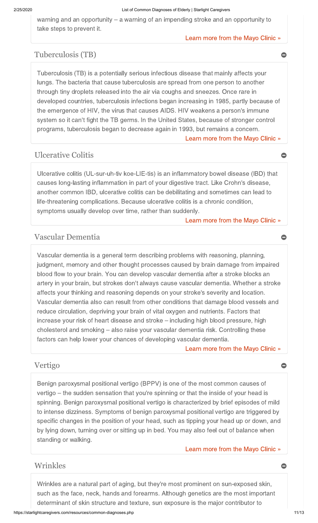warning and an opportunity – a warning of an impending stroke and an opportunity to take steps to prevent it.

#### [Learn more from the Mayo Clinic »](http://www.mayoclinic.com/health/transient-ischemic-attack/DS00220)

## Tuberculosis (TB)

[Learn more from the Mayo Clinic »](http://www.mayoclinic.com/health/tuberculosis/DS00372) Tuberculosis (TB) is a potentially serious infectious disease that mainly affects your lungs. The bacteria that cause tuberculosis are spread from one person to another through tiny droplets released into the air via coughs and sneezes. Once rare in developed countries, tuberculosis infections began increasing in 1985, partly because of the emergence of HIV, the virus that causes AIDS. HIV weakens a person's immune system so it can't fight the TB germs. In the United States, because of stronger control programs, tuberculosis began to decrease again in 1993, but remains a concern.

## Ulcerative Colitis

Ulcerative colitis (UL-sur-uh-tiv koe-LIE-tis) is an inflammatory bowel disease (IBD) that causes long-lasting inflammation in part of your digestive tract. Like Crohn's disease, another common IBD, ulcerative colitis can be debilitating and sometimes can lead to life-threatening complications. Because ulcerative colitis is a chronic condition, symptoms usually develop over time, rather than suddenly.

#### [Learn more from the Mayo Clinic »](http://www.mayoclinic.com/health/ulcerative-colitis/DS00598)

## Vascular Dementia

Vascular dementia is a general term describing problems with reasoning, planning, judgment, memory and other thought processes caused by brain damage from impaired blood flow to your brain. You can develop vascular dementia after a stroke blocks an artery in your brain, but strokes don't always cause vascular dementia. Whether a stroke affects your thinking and reasoning depends on your stroke's severity and location. Vascular dementia also can result from other conditions that damage blood vessels and reduce circulation, depriving your brain of vital oxygen and nutrients. Factors that increase your risk of heart disease and stroke – including high blood pressure, high cholesterol and smoking – also raise your vascular dementia risk. Controlling these factors can help lower your chances of developing vascular dementia.

#### [Learn more from the Mayo Clinic »](http://www.mayoclinic.com/health/vascular-dementia/DS00934)

### Vertigo

Benign paroxysmal positional vertigo (BPPV) is one of the most common causes of vertigo – the sudden sensation that you're spinning or that the inside of your head is spinning. Benign paroxysmal positional vertigo is characterized by brief episodes of mild to intense dizziness. Symptoms of benign paroxysmal positional vertigo are triggered by specific changes in the position of your head, such as tipping your head up or down, and by lying down, turning over or sitting up in bed. You may also feel out of balance when standing or walking.

#### [Learn more from the Mayo Clinic »](http://www.mayoclinic.com/health/vertigo/DS00534)

## Wrinkles  $\qquad \qquad \bullet$

Wrinkles are a natural part of aging, but they're most prominent on sun-exposed skin, such as the face, neck, hands and forearms. Although genetics are the most important determinant of skin structure and texture, sun exposure is the major contributor to